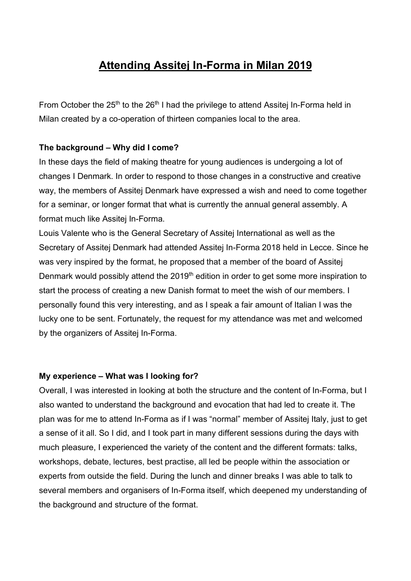# **Attending Assitej In-Forma in Milan 2019**

From October the 25<sup>th</sup> to the 26<sup>th</sup> I had the privilege to attend Assitej In-Forma held in Milan created by a co-operation of thirteen companies local to the area.

## **The background – Why did I come?**

In these days the field of making theatre for young audiences is undergoing a lot of changes I Denmark. In order to respond to those changes in a constructive and creative way, the members of Assitej Denmark have expressed a wish and need to come together for a seminar, or longer format that what is currently the annual general assembly. A format much like Assitej In-Forma.

Louis Valente who is the General Secretary of Assitej International as well as the Secretary of Assitej Denmark had attended Assitej In-Forma 2018 held in Lecce. Since he was very inspired by the format, he proposed that a member of the board of Assitej Denmark would possibly attend the 2019<sup>th</sup> edition in order to get some more inspiration to start the process of creating a new Danish format to meet the wish of our members. I personally found this very interesting, and as I speak a fair amount of Italian I was the lucky one to be sent. Fortunately, the request for my attendance was met and welcomed by the organizers of Assitej In-Forma.

### **My experience – What was I looking for?**

Overall, I was interested in looking at both the structure and the content of In-Forma, but I also wanted to understand the background and evocation that had led to create it. The plan was for me to attend In-Forma as if I was "normal" member of Assitej Italy, just to get a sense of it all. So I did, and I took part in many different sessions during the days with much pleasure, I experienced the variety of the content and the different formats: talks, workshops, debate, lectures, best practise, all led be people within the association or experts from outside the field. During the lunch and dinner breaks I was able to talk to several members and organisers of In-Forma itself, which deepened my understanding of the background and structure of the format.